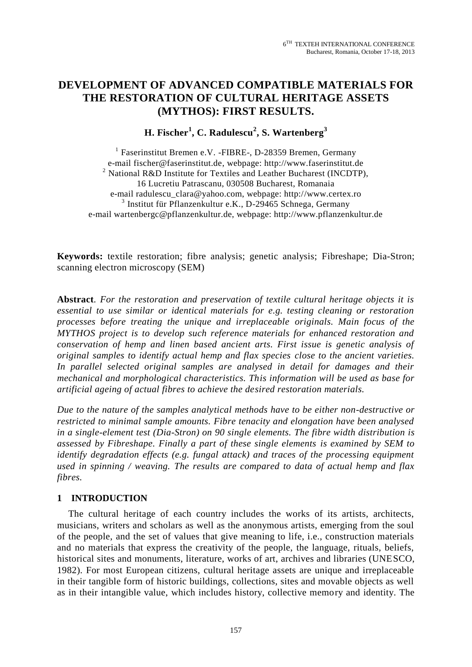# **DEVELOPMENT OF ADVANCED COMPATIBLE MATERIALS FOR THE RESTORATION OF CULTURAL HERITAGE ASSETS (MYTHOS): FIRST RESULTS.**

**H. Fischer<sup>1</sup> , C. Radulescu<sup>2</sup> , S. Wartenberg<sup>3</sup>**

<sup>1</sup> Faserinstitut Bremen e.V. -FIBRE-, D-28359 Bremen, Germany e-mail [fischer@faserinstitut.de,](mailto:fischer@faserinstitut.de) webpage: http://www.faserinstitut.de <sup>2</sup> National R&D Institute for Textiles and Leather Bucharest (INCDTP), 16 Lucretiu Patrascanu, 030508 Bucharest, Romanaia e-mail radulescu\_clara@yahoo.com, webpage: http://www.certex.ro 3 Institut für Pflanzenkultur e.K., D-29465 Schnega, Germany e-mail wartenbergc@pflanzenkultur.de, webpage: http://www.pflanzenkultur.de

**Keywords:** textile restoration; fibre analysis; genetic analysis; Fibreshape; Dia-Stron; scanning electron microscopy (SEM)

**Abstract***. For the restoration and preservation of textile cultural heritage objects it is essential to use similar or identical materials for e.g. testing cleaning or restoration processes before treating the unique and irreplaceable originals. Main focus of the MYTHOS project is to develop such reference materials for enhanced restoration and conservation of hemp and linen based ancient arts. First issue is genetic analysis of original samples to identify actual hemp and flax species close to the ancient varieties. In parallel selected original samples are analysed in detail for damages and their mechanical and morphological characteristics. This information will be used as base for artificial ageing of actual fibres to achieve the desired restoration materials.*

*Due to the nature of the samples analytical methods have to be either non-destructive or restricted to minimal sample amounts. Fibre tenacity and elongation have been analysed in a single-element test (Dia-Stron) on 90 single elements. The fibre width distribution is assessed by Fibreshape. Finally a part of these single elements is examined by SEM to identify degradation effects (e.g. fungal attack) and traces of the processing equipment used in spinning / weaving. The results are compared to data of actual hemp and flax fibres.*

## **1 INTRODUCTION**

The cultural heritage of each country includes the works of its artists, architects, musicians, writers and scholars as well as the anonymous artists, emerging from the soul of the people, and the set of values that give meaning to life, i.e., construction materials and no materials that express the creativity of the people, the language, rituals, beliefs, historical sites and monuments, literature, works of art, archives and libraries (UNESCO, 1982). For most European citizens, cultural heritage assets are unique and irreplaceable in their tangible form of historic buildings, collections, sites and movable objects as well as in their intangible value, which includes history, collective memory and identity. The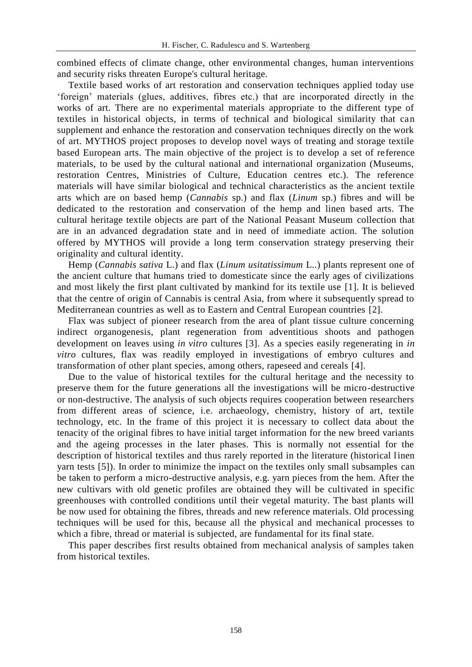combined effects of climate change, other environmental changes, human interventions and security risks threaten Europe's cultural heritage.

Textile based works of art restoration and conservation techniques applied today use 'foreign' materials (glues, additives, fibres etc.) that are incorporated directly in the works of art. There are no experimental materials appropriate to the different type of textiles in historical objects, in terms of technical and biological similarity that can supplement and enhance the restoration and conservation techniques directly on the work of art. MYTHOS project proposes to develop novel ways of treating and storage textile based European arts. The main objective of the project is to develop a set of reference materials, to be used by the cultural national and international organization (Museums, restoration Centres, Ministries of Culture, Education centres etc.). The reference materials will have similar biological and technical characteristics as the ancient textile arts which are on based hemp (*Cannabis* sp.) and flax (*Linum* sp.) fibres and will be dedicated to the restoration and conservation of the hemp and linen based arts. The cultural heritage textile objects are part of the National Peasant Museum collection that are in an advanced degradation state and in need of immediate action. The solution offered by MYTHOS will provide a long term conservation strategy preserving their originality and cultural identity.

Hemp (*Cannabis sativa* L.) and flax (*Linum usitatissimum* L..) plants represent one of the ancient culture that humans tried to domesticate since the early ages of civilizations and most likely the first plant cultivated by mankind for its textile use [1]. It is believed that the centre of origin of Cannabis is central Asia, from where it subsequently spread to Mediterranean countries as well as to Eastern and Central European countries [2].

Flax was subject of pioneer research from the area of plant tissue culture concerning indirect organogenesis, plant regeneration from adventitious shoots and pathogen development on leaves using *in vitro* cultures [3]. As a species easily regenerating in *in vitro* cultures, flax was readily employed in investigations of embryo cultures and transformation of other plant species, among others, rapeseed and cereals [4].

Due to the value of historical textiles for the cultural heritage and the necessity to preserve them for the future generations all the investigations will be micro-destructive or non-destructive. The analysis of such objects requires cooperation between researchers from different areas of science, i.e. archaeology, chemistry, history of art, textile technology, etc. In the frame of this project it is necessary to collect data about the tenacity of the original fibres to have initial target information for the new breed variants and the ageing processes in the later phases. This is normally not essential for the description of historical textiles and thus rarely reported in the literature (historical linen yarn tests [5]). In order to minimize the impact on the textiles only small subsamples can be taken to perform a micro-destructive analysis, e.g. yarn pieces from the hem. After the new cultivars with old genetic profiles are obtained they will be cultivated in specific greenhouses with controlled conditions until their vegetal maturity. The bast plants will be now used for obtaining the fibres, threads and new reference materials. Old processing techniques will be used for this, because all the physical and mechanical processes to which a fibre, thread or material is subjected, are fundamental for its final state.

This paper describes first results obtained from mechanical analysis of samples taken from historical textiles.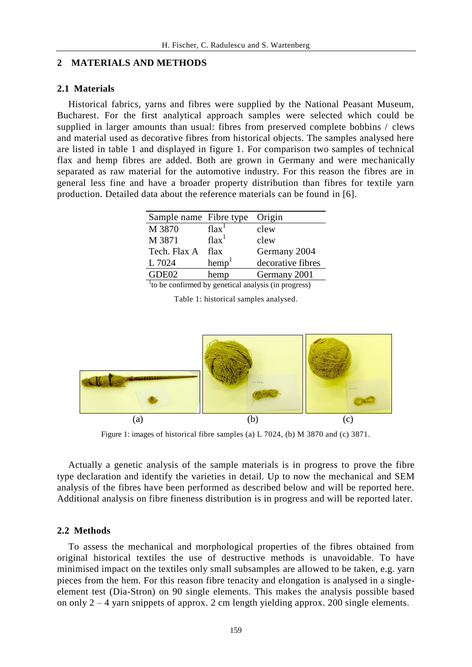## **2 MATERIALS AND METHODS**

#### **2.1 Materials**

Historical fabrics, yarns and fibres were supplied by the National Peasant Museum, Bucharest. For the first analytical approach samples were selected which could be supplied in larger amounts than usual: fibres from preserved complete bobbins / clews and material used as decorative fibres from historical objects. The samples analysed here are listed in table 1 and displayed in figure 1. For comparison two samples of technical flax and hemp fibres are added. Both are grown in Germany and were mechanically separated as raw material for the automotive industry. For this reason the fibres are in general less fine and have a broader property distribution than fibres for textile yarn production. Detailed data about the reference materials can be found in [6].

| Sample name Fibre type |                   | Origin            |
|------------------------|-------------------|-------------------|
| M 3870                 | flax <sup>1</sup> | clew              |
| M 3871                 | $\text{flux}^1$   | clew              |
| Tech. Flax A           | flax              | Germany 2004      |
| L 7024                 | hemp <sup>1</sup> | decorative fibres |
| GDE02                  | hemp              | Germany 2001      |

<sup>1</sup>to be confirmed by genetical analysis (in progress)

Table 1: historical samples analysed.



Figure 1: images of historical fibre samples (a) L 7024, (b) M 3870 and (c) 3871.

Actually a genetic analysis of the sample materials is in progress to prove the fibre type declaration and identify the varieties in detail. Up to now the mechanical and SEM analysis of the fibres have been performed as described below and will be reported here. Additional analysis on fibre fineness distribution is in progress and will be reported later.

#### **2.2 Methods**

To assess the mechanical and morphological properties of the fibres obtained from original historical textiles the use of destructive methods is unavoidable. To have minimised impact on the textiles only small subsamples are allowed to be taken, e.g. yarn pieces from the hem. For this reason fibre tenacity and elongation is analysed in a singleelement test (Dia-Stron) on 90 single elements. This makes the analysis possible based on only  $2 - 4$  yarn snippets of approx. 2 cm length yielding approx. 200 single elements.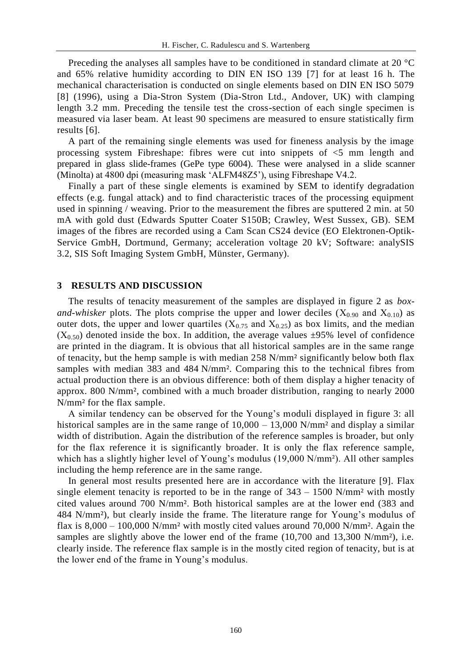Preceding the analyses all samples have to be conditioned in standard climate at 20 °C and 65% relative humidity according to DIN EN ISO 139 [7] for at least 16 h. The mechanical characterisation is conducted on single elements based on DIN EN ISO 5079 [8] (1996), using a Dia-Stron System (Dia-Stron Ltd., Andover, UK) with clamping length 3.2 mm. Preceding the tensile test the cross-section of each single specimen is measured via laser beam. At least 90 specimens are measured to ensure statistically firm results [6].

A part of the remaining single elements was used for fineness analysis by the image processing system Fibreshape: fibres were cut into snippets of <5 mm length and prepared in glass slide-frames (GePe type 6004). These were analysed in a slide scanner (Minolta) at 4800 dpi (measuring mask 'ALFM48Z5'), using Fibreshape V4.2.

Finally a part of these single elements is examined by SEM to identify degradation effects (e.g. fungal attack) and to find characteristic traces of the processing equipment used in spinning / weaving. Prior to the measurement the fibres are sputtered 2 min. at 50 mA with gold dust (Edwards Sputter Coater S150B; Crawley, West Sussex, GB). SEM images of the fibres are recorded using a Cam Scan CS24 device (EO Elektronen-Optik-Service GmbH, Dortmund, Germany; acceleration voltage 20 kV; Software: analySIS 3.2, SIS Soft Imaging System GmbH, Münster, Germany).

#### **3 RESULTS AND DISCUSSION**

The results of tenacity measurement of the samples are displayed in figure 2 as *boxand-whisker* plots. The plots comprise the upper and lower deciles ( $X_{0.90}$  and  $X_{0.10}$ ) as outer dots, the upper and lower quartiles ( $X_{0.75}$  and  $X_{0.25}$ ) as box limits, and the median  $(X<sub>0.50</sub>)$  denoted inside the box. In addition, the average values  $\pm$ 95% level of confidence are printed in the diagram. It is obvious that all historical samples are in the same range of tenacity, but the hemp sample is with median 258 N/mm² significantly below both flax samples with median 383 and 484 N/mm². Comparing this to the technical fibres from actual production there is an obvious difference: both of them display a higher tenacity of approx. 800 N/mm², combined with a much broader distribution, ranging to nearly 2000 N/mm² for the flax sample.

A similar tendency can be observed for the Young's moduli displayed in figure 3: all historical samples are in the same range of  $10,000 - 13,000$  N/mm<sup>2</sup> and display a similar width of distribution. Again the distribution of the reference samples is broader, but only for the flax reference it is significantly broader. It is only the flax reference sample, which has a slightly higher level of Young's modulus (19,000 N/mm<sup>2</sup>). All other samples including the hemp reference are in the same range.

In general most results presented here are in accordance with the literature [9]. Flax single element tenacity is reported to be in the range of  $343 - 1500$  N/mm<sup>2</sup> with mostly cited values around 700 N/mm². Both historical samples are at the lower end (383 and 484 N/mm²), but clearly inside the frame. The literature range for Young's modulus of flax is  $8,000 - 100,000$  N/mm<sup>2</sup> with mostly cited values around 70,000 N/mm<sup>2</sup>. Again the samples are slightly above the lower end of the frame (10,700 and 13,300 N/mm<sup>2</sup>), i.e. clearly inside. The reference flax sample is in the mostly cited region of tenacity, but is at the lower end of the frame in Young's modulus.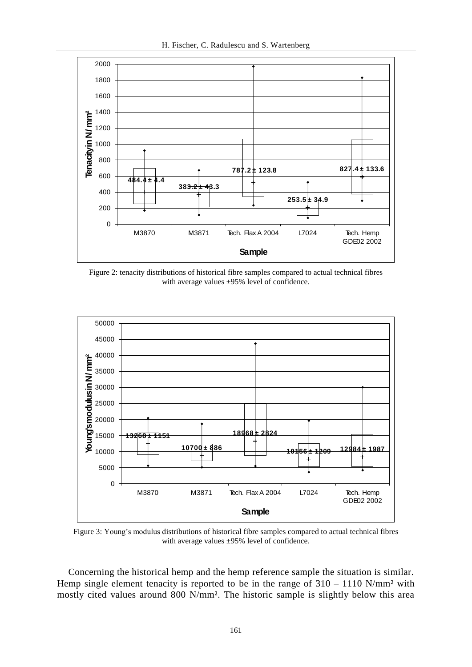

Figure 2: tenacity distributions of historical fibre samples compared to actual technical fibres with average values ±95% level of confidence.



Figure 3: Young's modulus distributions of historical fibre samples compared to actual technical fibres with average values ±95% level of confidence.

Concerning the historical hemp and the hemp reference sample the situation is similar. Hemp single element tenacity is reported to be in the range of  $310 - 1110$  N/mm<sup>2</sup> with mostly cited values around 800 N/mm². The historic sample is slightly below this area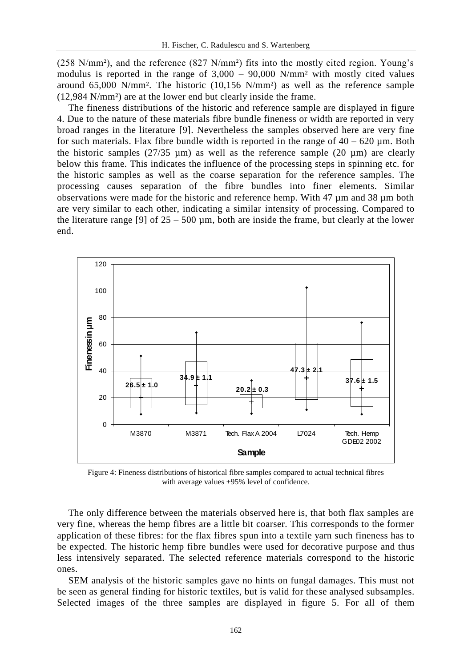(258 N/mm²), and the reference (827 N/mm²) fits into the mostly cited region. Young's modulus is reported in the range of  $3,000 - 90,000$  N/mm<sup>2</sup> with mostly cited values around  $65,000$  N/mm<sup>2</sup>. The historic  $(10,156 \text{ N/mm}^2)$  as well as the reference sample (12,984 N/mm²) are at the lower end but clearly inside the frame.

The fineness distributions of the historic and reference sample are displayed in figure 4. Due to the nature of these materials fibre bundle fineness or width are reported in very broad ranges in the literature [9]. Nevertheless the samples observed here are very fine for such materials. Flax fibre bundle width is reported in the range of  $40 - 620 \mu m$ . Both the historic samples (27/35  $\mu$ m) as well as the reference sample (20  $\mu$ m) are clearly below this frame. This indicates the influence of the processing steps in spinning etc. for the historic samples as well as the coarse separation for the reference samples. The processing causes separation of the fibre bundles into finer elements. Similar observations were made for the historic and reference hemp. With 47 µm and 38 µm both are very similar to each other, indicating a similar intensity of processing. Compared to the literature range [9] of  $25 - 500 \mu m$ , both are inside the frame, but clearly at the lower end.



Figure 4: Fineness distributions of historical fibre samples compared to actual technical fibres with average values  $\pm 95\%$  level of confidence.

The only difference between the materials observed here is, that both flax samples are very fine, whereas the hemp fibres are a little bit coarser. This corresponds to the former application of these fibres: for the flax fibres spun into a textile yarn such fineness has to be expected. The historic hemp fibre bundles were used for decorative purpose and thus less intensively separated. The selected reference materials correspond to the historic ones.

SEM analysis of the historic samples gave no hints on fungal damages. This must not be seen as general finding for historic textiles, but is valid for these analysed subsamples. Selected images of the three samples are displayed in figure 5. For all of them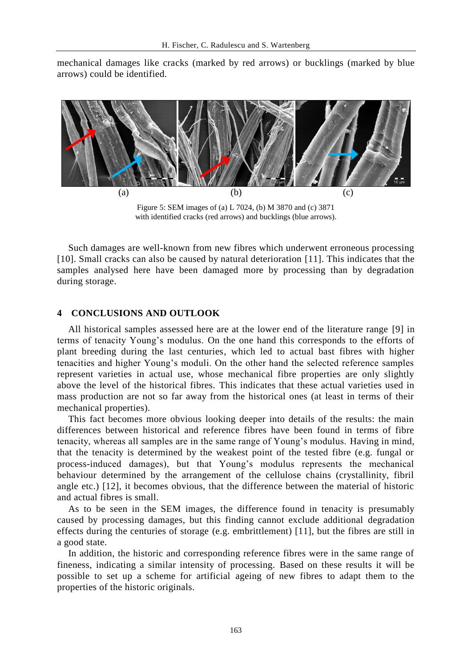mechanical damages like cracks (marked by red arrows) or bucklings (marked by blue arrows) could be identified.



Figure 5: SEM images of (a) L 7024, (b) M 3870 and (c) 3871 with identified cracks (red arrows) and bucklings (blue arrows).

Such damages are well-known from new fibres which underwent erroneous processing [10]. Small cracks can also be caused by natural deterioration [11]. This indicates that the samples analysed here have been damaged more by processing than by degradation during storage.

## **4 CONCLUSIONS AND OUTLOOK**

All historical samples assessed here are at the lower end of the literature range [9] in terms of tenacity Young's modulus. On the one hand this corresponds to the efforts of plant breeding during the last centuries, which led to actual bast fibres with higher tenacities and higher Young's moduli. On the other hand the selected reference samples represent varieties in actual use, whose mechanical fibre properties are only slightly above the level of the historical fibres. This indicates that these actual varieties used in mass production are not so far away from the historical ones (at least in terms of their mechanical properties).

This fact becomes more obvious looking deeper into details of the results: the main differences between historical and reference fibres have been found in terms of fibre tenacity, whereas all samples are in the same range of Young's modulus. Having in mind, that the tenacity is determined by the weakest point of the tested fibre (e.g. fungal or process-induced damages), but that Young's modulus represents the mechanical behaviour determined by the arrangement of the cellulose chains (crystallinity, fibril angle etc.) [12], it becomes obvious, that the difference between the material of historic and actual fibres is small.

As to be seen in the SEM images, the difference found in tenacity is presumably caused by processing damages, but this finding cannot exclude additional degradation effects during the centuries of storage (e.g. embrittlement) [11], but the fibres are still in a good state.

In addition, the historic and corresponding reference fibres were in the same range of fineness, indicating a similar intensity of processing. Based on these results it will be possible to set up a scheme for artificial ageing of new fibres to adapt them to the properties of the historic originals.